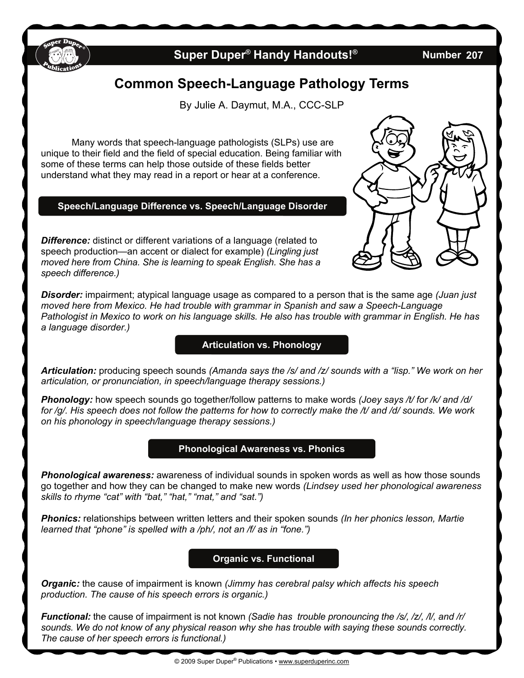

## **Super Duper<sup>®</sup> Handy Handouts!<sup>®</sup>**

**207** 

# **Common Speech-Language Pathology Terms**

By Julie A. Daymut, M.A., CCC-SLP

 Many words that speech-language pathologists (SLPs) use are unique to their field and the field of special education. Being familiar with some of these terms can help those outside of these fields better understand what they may read in a report or hear at a conference.

#### **Speech/Language Difference vs. Speech/Language Disorder**

**Difference:** distinct or different variations of a language (related to speech production—an accent or dialect for example) *(Lingling just moved here from China. She is learning to speak English. She has a speech difference.)*



*Disorder:* impairment; atypical language usage as compared to a person that is the same age *(Juan just moved here from Mexico. He had trouble with grammar in Spanish and saw a Speech-Language Pathologist in Mexico to work on his language skills. He also has trouble with grammar in English. He has a language disorder.)*

#### **Articulation vs. Phonology**

*Articulation:* producing speech sounds *(Amanda says the /s/ and /z/ sounds with a "lisp." We work on her articulation, or pronunciation, in speech/language therapy sessions.)*

*Phonology:* how speech sounds go together/follow patterns to make words *(Joey says /t/ for /k/ and /d/ for /g/. His speech does not follow the patterns for how to correctly make the /t/ and /d/ sounds. We work on his phonology in speech/language therapy sessions.)*

#### **Phonological Awareness vs. Phonics**

*Phonological awareness:* awareness of individual sounds in spoken words as well as how those sounds go together and how they can be changed to make new words *(Lindsey used her phonological awareness skills to rhyme "cat" with "bat," "hat," "mat," and "sat.")* 

*Phonics:* relationships between written letters and their spoken sounds *(In her phonics lesson, Martie learned that "phone" is spelled with a /ph/, not an /f/ as in "fone.")*

#### **Organic vs. Functional**

*Organi***c***:* the cause of impairment is known *(Jimmy has cerebral palsy which affects his speech production. The cause of his speech errors is organic.)* 

*Functional:* the cause of impairment is not known *(Sadie has trouble pronouncing the /s/, /z/, /l/, and /r/ sounds. We do not know of any physical reason why she has trouble with saying these sounds correctly. The cause of her speech errors is functional.)*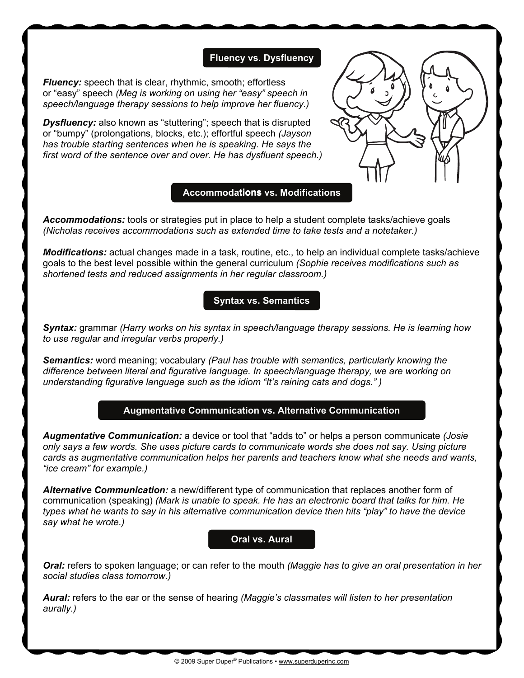#### **Fluency vs. Dysfluency**

*Fluency:* speech that is clear, rhythmic, smooth; effortless or "easy" speech *(Meg is working on using her "easy" speech in speech/language therapy sessions to help improve her fluency.)*

**Dysfluency:** also known as "stuttering"; speech that is disrupted or "bumpy" (prolongations, blocks, etc.); effortful speech *(Jayson has trouble starting sentences when he is speaking. He says the first word of the sentence over and over. He has dysfluent speech.)*

#### **Accommodations vs. Modifications tions**

*Accommodations:* tools or strategies put in place to help a student complete tasks/achieve goals *(Nicholas receives accommodations such as extended time to take tests and a notetaker.)* 

*Modifications:* actual changes made in a task, routine, etc., to help an individual complete tasks/achieve goals to the best level possible within the general curriculum *(Sophie receives modifications such as shortened tests and reduced assignments in her regular classroom.)*

### **Syntax vs. Semantics**

*Syntax:* grammar *(Harry works on his syntax in speech/language therapy sessions. He is learning how to use regular and irregular verbs properly.)* 

*Semantics:* word meaning; vocabulary *(Paul has trouble with semantics, particularly knowing the difference between literal and figurative language. In speech/language therapy, we are working on understanding figurative language such as the idiom "It's raining cats and dogs." )*

#### **Augmentative Communication vs. Alternative Communication**

*Augmentative Communication:* a device or tool that "adds to" or helps a person communicate *(Josie only says a few words. She uses picture cards to communicate words she does not say. Using picture cards as augmentative communication helps her parents and teachers know what she needs and wants, "ice cream" for example.)* 

*Alternative Communication:* a new/different type of communication that replaces another form of communication (speaking) *(Mark is unable to speak. He has an electronic board that talks for him. He types what he wants to say in his alternative communication device then hits "play" to have the device say what he wrote.)*

#### **Oral vs. Aural**

*Oral:* refers to spoken language; or can refer to the mouth *(Maggie has to give an oral presentation in her social studies class tomorrow.)* 

*Aural:* refers to the ear or the sense of hearing *(Maggie's classmates will listen to her presentation aurally.)*